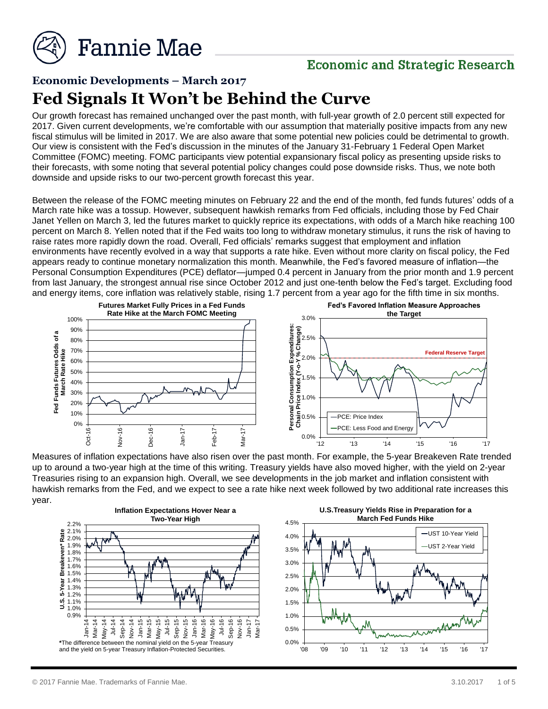

## **Economic and Strategic Research**

# **Economic Developments – March 2017 Fed Signals It Won't be Behind the Curve**

Our growth forecast has remained unchanged over the past month, with full-year growth of 2.0 percent still expected for 2017. Given current developments, we're comfortable with our assumption that materially positive impacts from any new fiscal stimulus will be limited in 2017. We are also aware that some potential new policies could be detrimental to growth. Our view is consistent with the Fed's discussion in the minutes of the January 31-February 1 Federal Open Market Committee (FOMC) meeting. FOMC participants view potential expansionary fiscal policy as presenting upside risks to their forecasts, with some noting that several potential policy changes could pose downside risks. Thus, we note both downside and upside risks to our two-percent growth forecast this year.

Between the release of the FOMC meeting minutes on February 22 and the end of the month, fed funds futures' odds of a March rate hike was a tossup. However, subsequent hawkish remarks from Fed officials, including those by Fed Chair Janet Yellen on March 3, led the futures market to quickly reprice its expectations, with odds of a March hike reaching 100 percent on March 8. Yellen noted that if the Fed waits too long to withdraw monetary stimulus, it runs the risk of having to raise rates more rapidly down the road. Overall, Fed officials' remarks suggest that employment and inflation environments have recently evolved in a way that supports a rate hike. Even without more clarity on fiscal policy, the Fed appears ready to continue monetary normalization this month. Meanwhile, the Fed's favored measure of inflation—the Personal Consumption Expenditures (PCE) deflator—jumped 0.4 percent in January from the prior month and 1.9 percent from last January, the strongest annual rise since October 2012 and just one-tenth below the Fed's target. Excluding food and energy items, core inflation was relatively stable, rising 1.7 percent from a year ago for the fifth time in six months.



Measures of inflation expectations have also risen over the past month. For example, the 5-year Breakeven Rate trended up to around a two-year high at the time of this writing. Treasury yields have also moved higher, with the yield on 2-year Treasuries rising to an expansion high. Overall, we see developments in the job market and inflation consistent with hawkish remarks from the Fed, and we expect to see a rate hike next week followed by two additional rate increases this year.

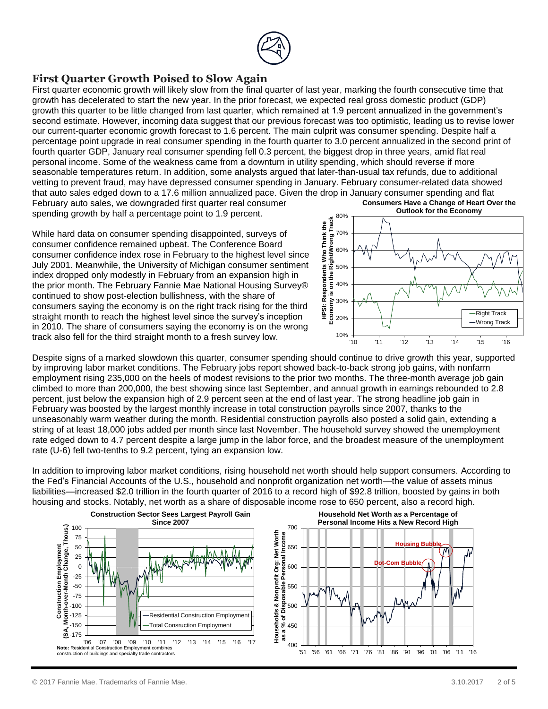

#### **First Quarter Growth Poised to Slow Again**

First quarter economic growth will likely slow from the final quarter of last year, marking the fourth consecutive time that growth has decelerated to start the new year. In the prior forecast, we expected real gross domestic product (GDP) growth this quarter to be little changed from last quarter, which remained at 1.9 percent annualized in the government's second estimate. However, incoming data suggest that our previous forecast was too optimistic, leading us to revise lower our current-quarter economic growth forecast to 1.6 percent. The main culprit was consumer spending. Despite half a percentage point upgrade in real consumer spending in the fourth quarter to 3.0 percent annualized in the second print of fourth quarter GDP, January real consumer spending fell 0.3 percent, the biggest drop in three years, amid flat real personal income. Some of the weakness came from a downturn in utility spending, which should reverse if more seasonable temperatures return. In addition, some analysts argued that later-than-usual tax refunds, due to additional vetting to prevent fraud, may have depressed consumer spending in January. February consumer-related data showed that auto sales edged down to a 17.6 million annualized pace. Given the drop in January consumer spending and flat February auto sales, we downgraded first quarter real consumer

spending growth by half a percentage point to 1.9 percent.

While hard data on consumer spending disappointed, surveys of consumer confidence remained upbeat. The Conference Board consumer confidence index rose in February to the highest level since July 2001. Meanwhile, the University of Michigan consumer sentiment index dropped only modestly in February from an expansion high in the prior month. The February Fannie Mae National Housing Survey® continued to show post-election bullishness, with the share of consumers saying the economy is on the right track rising for the third straight month to reach the highest level since the survey's inception in 2010. The share of consumers saying the economy is on the wrong track also fell for the third straight month to a fresh survey low.



Despite signs of a marked slowdown this quarter, consumer spending should continue to drive growth this year, supported by improving labor market conditions. The February jobs report showed back-to-back strong job gains, with nonfarm employment rising 235,000 on the heels of modest revisions to the prior two months. The three-month average job gain climbed to more than 200,000, the best showing since last September, and annual growth in earnings rebounded to 2.8 percent, just below the expansion high of 2.9 percent seen at the end of last year. The strong headline job gain in February was boosted by the largest monthly increase in total construction payrolls since 2007, thanks to the unseasonably warm weather during the month. Residential construction payrolls also posted a solid gain, extending a string of at least 18,000 jobs added per month since last November. The household survey showed the unemployment rate edged down to 4.7 percent despite a large jump in the labor force, and the broadest measure of the unemployment rate (U-6) fell two-tenths to 9.2 percent, tying an expansion low.

In addition to improving labor market conditions, rising household net worth should help support consumers. According to the Fed's Financial Accounts of the U.S., household and nonprofit organization net worth—the value of assets minus liabilities—increased \$2.0 trillion in the fourth quarter of 2016 to a record high of \$92.8 trillion, boosted by gains in both housing and stocks. Notably, net worth as a share of disposable income rose to 650 percent, also a record high.

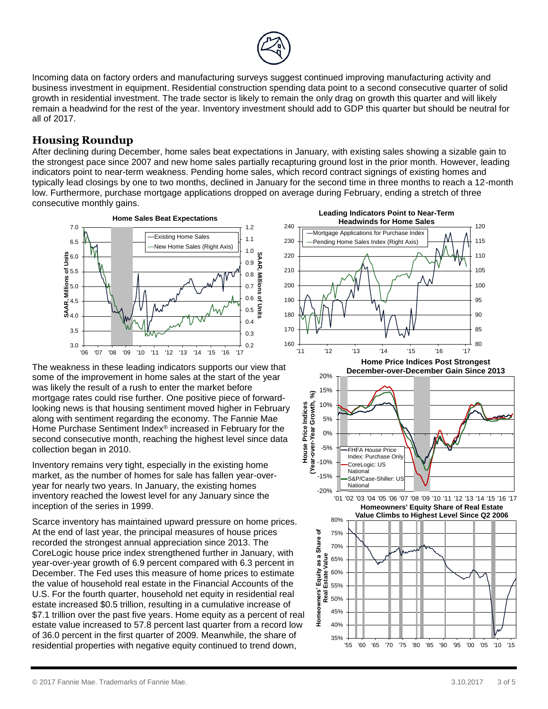

Incoming data on factory orders and manufacturing surveys suggest continued improving manufacturing activity and business investment in equipment. Residential construction spending data point to a second consecutive quarter of solid growth in residential investment. The trade sector is likely to remain the only drag on growth this quarter and will likely remain a headwind for the rest of the year. Inventory investment should add to GDP this quarter but should be neutral for all of 2017.

### **Housing Roundup**

After declining during December, home sales beat expectations in January, with existing sales showing a sizable gain to the strongest pace since 2007 and new home sales partially recapturing ground lost in the prior month. However, leading indicators point to near-term weakness. Pending home sales, which record contract signings of existing homes and typically lead closings by one to two months, declined in January for the second time in three months to reach a 12-month low. Furthermore, purchase mortgage applications dropped on average during February, ending a stretch of three consecutive monthly gains.



The weakness in these leading indicators supports our view that some of the improvement in home sales at the start of the year was likely the result of a rush to enter the market before mortgage rates could rise further. One positive piece of forwardlooking news is that housing sentiment moved higher in February along with sentiment regarding the economy. The Fannie Mae Home Purchase Sentiment Index® increased in February for the second consecutive month, reaching the highest level since data collection began in 2010.

Inventory remains very tight, especially in the existing home market, as the number of homes for sale has fallen year-overyear for nearly two years. In January, the existing homes inventory reached the lowest level for any January since the inception of the series in 1999.

Scarce inventory has maintained upward pressure on home prices. At the end of last year, the principal measures of house prices recorded the strongest annual appreciation since 2013. The CoreLogic house price index strengthened further in January, with year-over-year growth of 6.9 percent compared with 6.3 percent in December. The Fed uses this measure of home prices to estimate the value of household real estate in the Financial Accounts of the U.S. For the fourth quarter, household net equity in residential real estate increased \$0.5 trillion, resulting in a cumulative increase of \$7.1 trillion over the past five years. Home equity as a percent of real estate value increased to 57.8 percent last quarter from a record low of 36.0 percent in the first quarter of 2009. Meanwhile, the share of residential properties with negative equity continued to trend down,

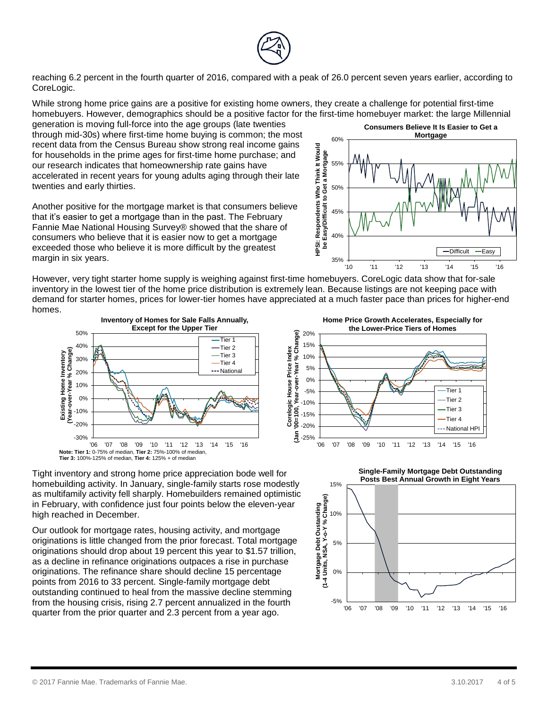

reaching 6.2 percent in the fourth quarter of 2016, compared with a peak of 26.0 percent seven years earlier, according to CoreLogic.

While strong home price gains are a positive for existing home owners, they create a challenge for potential first-time homebuyers. However, demographics should be a positive factor for the first-time homebuyer market: the large Millennial

generation is moving full-force into the age groups (late twenties through mid-30s) where first-time home buying is common; the most recent data from the Census Bureau show strong real income gains for households in the prime ages for first-time home purchase; and our research indicates that homeownership rate gains have accelerated in recent years for young adults aging through their late twenties and early thirties.

Another positive for the mortgage market is that consumers believe that it's easier to get a mortgage than in the past. The February Fannie Mae National Housing Survey® showed that the share of consumers who believe that it is easier now to get a mortgage exceeded those who believe it is more difficult by the greatest margin in six years.

35% 40% 45% 50% 55% 60%  $\begin{picture}(180,190) \put(10,190) \put(10,190) \put(10,190) \put(10,190) \put(10,190) \put(10,190) \put(10,190) \put(10,190) \put(10,190) \put(10,190) \put(10,190) \put(10,190) \put(10,190) \put(10,190) \put(10,190) \put(10,190) \put(10,190) \put(10,190) \put(10,190) \put(10,190) \put(10,1$ **Consumers Believe It Is Easier to Get a Mortgage** -Difficult -Easy

However, very tight starter home supply is weighing against first-time homebuyers. CoreLogic data show that for-sale inventory in the lowest tier of the home price distribution is extremely lean. Because listings are not keeping pace with demand for starter homes, prices for lower-tier homes have appreciated at a much faster pace than prices for higher-end homes.





Tight inventory and strong home price appreciation bode well for homebuilding activity. In January, single-family starts rose modestly as multifamily activity fell sharply. Homebuilders remained optimistic in February, with confidence just four points below the eleven-year high reached in December.

Our outlook for mortgage rates, housing activity, and mortgage originations is little changed from the prior forecast. Total mortgage originations should drop about 19 percent this year to \$1.57 trillion, as a decline in refinance originations outpaces a rise in purchase originations. The refinance share should decline 15 percentage points from 2016 to 33 percent. Single-family mortgage debt outstanding continued to heal from the massive decline stemming from the housing crisis, rising 2.7 percent annualized in the fourth quarter from the prior quarter and 2.3 percent from a year ago.

**Home Price Growth Accelerates, Especially for the Lower-Price Tiers of Homes** 20% **Corelogic House Price Index (Jan '00=100, Year-over-Year % Change)** Year-over-Year % Change) 15% Corelogic House Price Index 10% 5% 0% Tier 1 -5% Tier 2 -10% Tier 3 -15%  $+$ Tier 4 -20%  $+$ National HPI <u>ទី</u> ــل 25%۔<br>06' '06 '07 '08 '09 '10 '11 '12 '13 '14 '15 '16